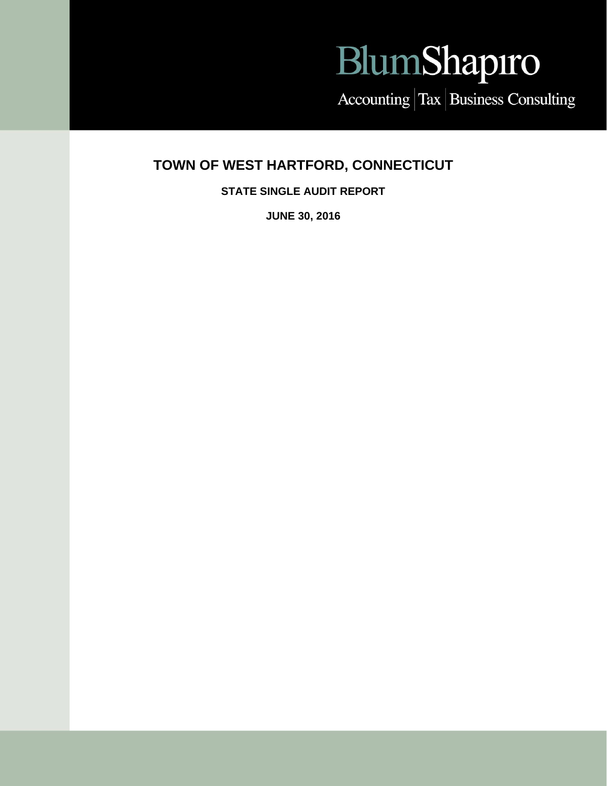# BlumShapiro

Accounting  $\boxed{\text{Tax}}$  Business Consulting

## **TOWN OF WEST HARTFORD, CONNECTICUT**

**STATE SINGLE AUDIT REPORT** 

**JUNE 30, 2016**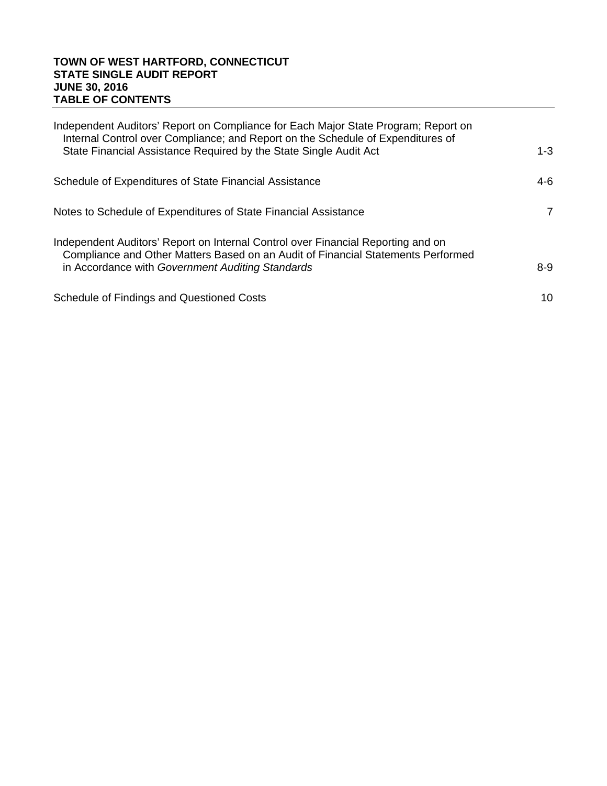## **TOWN OF WEST HARTFORD, CONNECTICUT STATE SINGLE AUDIT REPORT JUNE 30, 2016 TABLE OF CONTENTS**

| Independent Auditors' Report on Compliance for Each Major State Program; Report on<br>Internal Control over Compliance; and Report on the Schedule of Expenditures of |                |
|-----------------------------------------------------------------------------------------------------------------------------------------------------------------------|----------------|
| State Financial Assistance Required by the State Single Audit Act                                                                                                     | $1 - 3$        |
| Schedule of Expenditures of State Financial Assistance                                                                                                                | 4-6            |
| Notes to Schedule of Expenditures of State Financial Assistance                                                                                                       | $\overline{7}$ |
| Independent Auditors' Report on Internal Control over Financial Reporting and on<br>Compliance and Other Matters Based on an Audit of Financial Statements Performed  |                |
| in Accordance with Government Auditing Standards                                                                                                                      | $8-9$          |
| Schedule of Findings and Questioned Costs                                                                                                                             | 10             |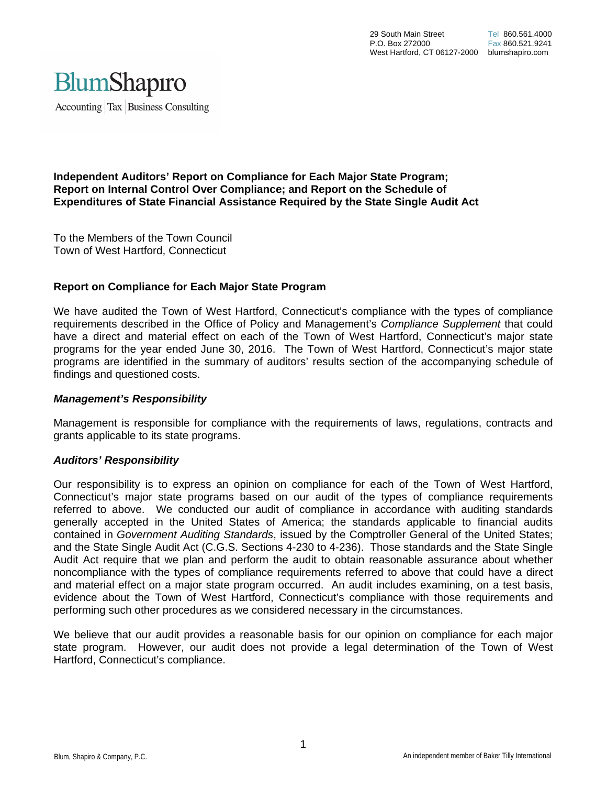

Accounting Tax Business Consulting

## **Independent Auditors' Report on Compliance for Each Major State Program; Report on Internal Control Over Compliance; and Report on the Schedule of Expenditures of State Financial Assistance Required by the State Single Audit Act**

To the Members of the Town Council Town of West Hartford, Connecticut

## **Report on Compliance for Each Major State Program**

We have audited the Town of West Hartford, Connecticut's compliance with the types of compliance requirements described in the Office of Policy and Management's *Compliance Supplement* that could have a direct and material effect on each of the Town of West Hartford, Connecticut's major state programs for the year ended June 30, 2016. The Town of West Hartford, Connecticut's major state programs are identified in the summary of auditors' results section of the accompanying schedule of findings and questioned costs.

## *Management's Responsibility*

Management is responsible for compliance with the requirements of laws, regulations, contracts and grants applicable to its state programs.

## *Auditors' Responsibility*

Our responsibility is to express an opinion on compliance for each of the Town of West Hartford, Connecticut's major state programs based on our audit of the types of compliance requirements referred to above. We conducted our audit of compliance in accordance with auditing standards generally accepted in the United States of America; the standards applicable to financial audits contained in *Government Auditing Standards*, issued by the Comptroller General of the United States; and the State Single Audit Act (C.G.S. Sections 4-230 to 4-236). Those standards and the State Single Audit Act require that we plan and perform the audit to obtain reasonable assurance about whether noncompliance with the types of compliance requirements referred to above that could have a direct and material effect on a major state program occurred. An audit includes examining, on a test basis, evidence about the Town of West Hartford, Connecticut's compliance with those requirements and performing such other procedures as we considered necessary in the circumstances.

We believe that our audit provides a reasonable basis for our opinion on compliance for each major state program. However, our audit does not provide a legal determination of the Town of West Hartford, Connecticut's compliance.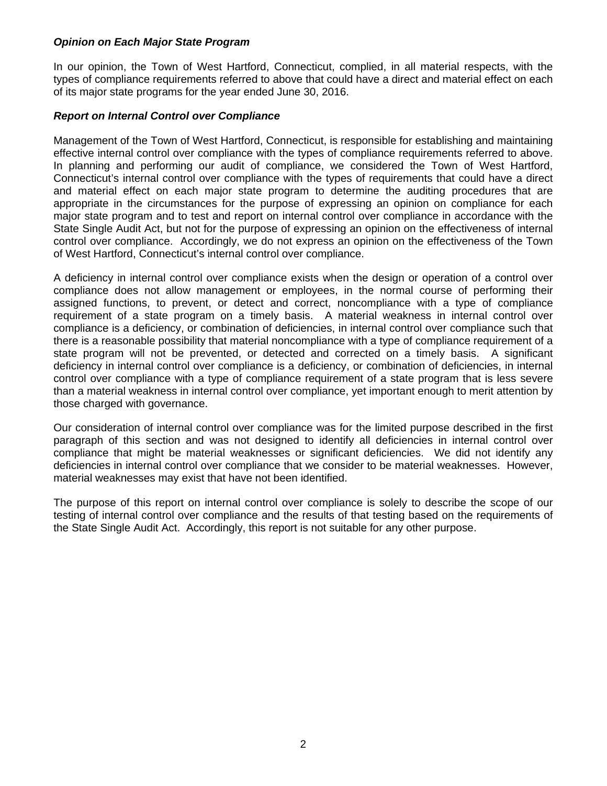## *Opinion on Each Major State Program*

In our opinion, the Town of West Hartford, Connecticut, complied, in all material respects, with the types of compliance requirements referred to above that could have a direct and material effect on each of its major state programs for the year ended June 30, 2016.

## *Report on Internal Control over Compliance*

Management of the Town of West Hartford, Connecticut, is responsible for establishing and maintaining effective internal control over compliance with the types of compliance requirements referred to above. In planning and performing our audit of compliance, we considered the Town of West Hartford, Connecticut's internal control over compliance with the types of requirements that could have a direct and material effect on each major state program to determine the auditing procedures that are appropriate in the circumstances for the purpose of expressing an opinion on compliance for each major state program and to test and report on internal control over compliance in accordance with the State Single Audit Act, but not for the purpose of expressing an opinion on the effectiveness of internal control over compliance. Accordingly, we do not express an opinion on the effectiveness of the Town of West Hartford, Connecticut's internal control over compliance.

A deficiency in internal control over compliance exists when the design or operation of a control over compliance does not allow management or employees, in the normal course of performing their assigned functions, to prevent, or detect and correct, noncompliance with a type of compliance requirement of a state program on a timely basis. A material weakness in internal control over compliance is a deficiency, or combination of deficiencies, in internal control over compliance such that there is a reasonable possibility that material noncompliance with a type of compliance requirement of a state program will not be prevented, or detected and corrected on a timely basis. A significant deficiency in internal control over compliance is a deficiency, or combination of deficiencies, in internal control over compliance with a type of compliance requirement of a state program that is less severe than a material weakness in internal control over compliance, yet important enough to merit attention by those charged with governance.

Our consideration of internal control over compliance was for the limited purpose described in the first paragraph of this section and was not designed to identify all deficiencies in internal control over compliance that might be material weaknesses or significant deficiencies. We did not identify any deficiencies in internal control over compliance that we consider to be material weaknesses. However, material weaknesses may exist that have not been identified.

The purpose of this report on internal control over compliance is solely to describe the scope of our testing of internal control over compliance and the results of that testing based on the requirements of the State Single Audit Act. Accordingly, this report is not suitable for any other purpose.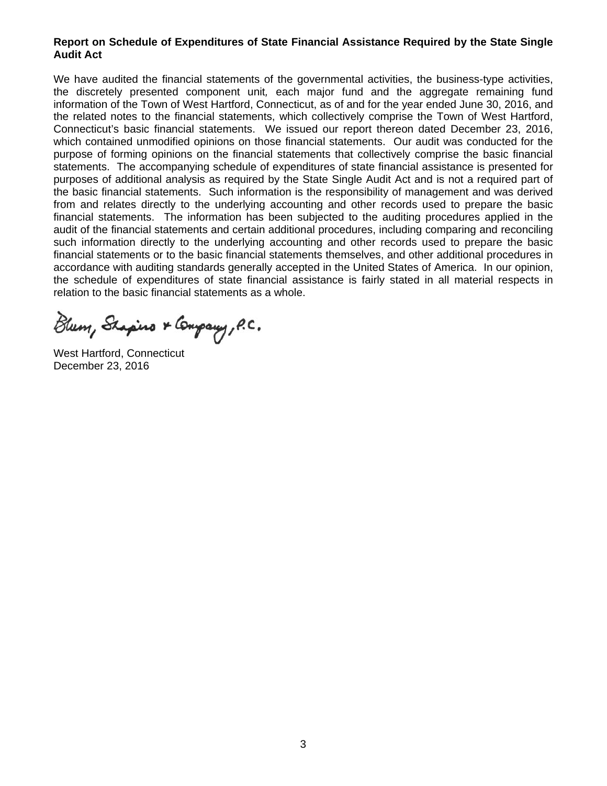## **Report on Schedule of Expenditures of State Financial Assistance Required by the State Single Audit Act**

We have audited the financial statements of the governmental activities, the business-type activities, the discretely presented component unit*,* each major fund and the aggregate remaining fund information of the Town of West Hartford, Connecticut, as of and for the year ended June 30, 2016, and the related notes to the financial statements, which collectively comprise the Town of West Hartford, Connecticut's basic financial statements. We issued our report thereon dated December 23, 2016, which contained unmodified opinions on those financial statements. Our audit was conducted for the purpose of forming opinions on the financial statements that collectively comprise the basic financial statements. The accompanying schedule of expenditures of state financial assistance is presented for purposes of additional analysis as required by the State Single Audit Act and is not a required part of the basic financial statements. Such information is the responsibility of management and was derived from and relates directly to the underlying accounting and other records used to prepare the basic financial statements. The information has been subjected to the auditing procedures applied in the audit of the financial statements and certain additional procedures, including comparing and reconciling such information directly to the underlying accounting and other records used to prepare the basic financial statements or to the basic financial statements themselves, and other additional procedures in accordance with auditing standards generally accepted in the United States of America. In our opinion, the schedule of expenditures of state financial assistance is fairly stated in all material respects in relation to the basic financial statements as a whole.

Blum, Shapino & Company, P.C.

West Hartford, Connecticut December 23, 2016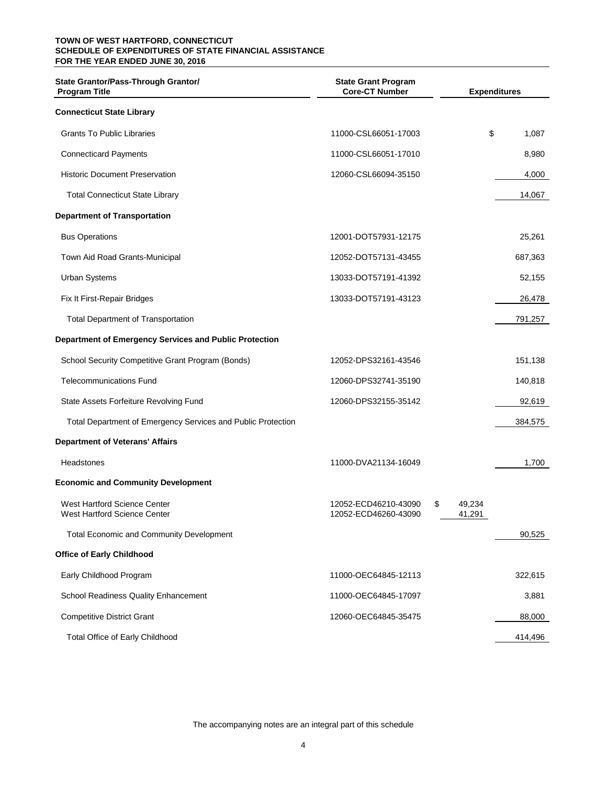#### **TOWN OF WEST HARTFORD, CONNECTICUT SCHEDULE OF EXPENDITURES OF STATE FINANCIAL ASSISTANCE FOR THE YEAR ENDED JUNE 30, 2016**

| State Grantor/Pass-Through Grantor/<br><b>Program Title</b>         | <b>State Grant Program</b><br><b>Core-CT Number</b> | <b>Expenditures</b>    |         |
|---------------------------------------------------------------------|-----------------------------------------------------|------------------------|---------|
| <b>Connecticut State Library</b>                                    |                                                     |                        |         |
| <b>Grants To Public Libraries</b>                                   | 11000-CSL66051-17003                                | \$                     | 1,087   |
| <b>Connecticard Payments</b>                                        | 11000-CSL66051-17010                                |                        | 8,980   |
| <b>Historic Document Preservation</b>                               | 12060-CSL66094-35150                                |                        | 4,000   |
| <b>Total Connecticut State Library</b>                              |                                                     |                        | 14,067  |
| <b>Department of Transportation</b>                                 |                                                     |                        |         |
| <b>Bus Operations</b>                                               | 12001-DOT57931-12175                                |                        | 25,261  |
| Town Aid Road Grants-Municipal                                      | 12052-DOT57131-43455                                |                        | 687,363 |
| <b>Urban Systems</b>                                                | 13033-DOT57191-41392                                |                        | 52,155  |
| Fix It First-Repair Bridges                                         | 13033-DOT57191-43123                                |                        | 26,478  |
| <b>Total Department of Transportation</b>                           |                                                     |                        | 791,257 |
| Department of Emergency Services and Public Protection              |                                                     |                        |         |
| School Security Competitive Grant Program (Bonds)                   | 12052-DPS32161-43546                                |                        | 151,138 |
| <b>Telecommunications Fund</b>                                      | 12060-DPS32741-35190                                |                        | 140,818 |
| State Assets Forfeiture Revolving Fund                              | 12060-DPS32155-35142                                |                        | 92,619  |
| Total Department of Emergency Services and Public Protection        |                                                     |                        | 384,575 |
| <b>Department of Veterans' Affairs</b>                              |                                                     |                        |         |
| Headstones                                                          | 11000-DVA21134-16049                                |                        | 1,700   |
| <b>Economic and Community Development</b>                           |                                                     |                        |         |
| <b>West Hartford Science Center</b><br>West Hartford Science Center | 12052-ECD46210-43090<br>12052-ECD46260-43090        | \$<br>49,234<br>41,291 |         |
| Total Economic and Community Development                            |                                                     |                        | 90,525  |
| <b>Office of Early Childhood</b>                                    |                                                     |                        |         |
| Early Childhood Program                                             | 11000-OEC64845-12113                                |                        | 322,615 |
| School Readiness Quality Enhancement                                | 11000-OEC64845-17097                                |                        | 3,881   |
| <b>Competitive District Grant</b>                                   | 12060-OEC64845-35475                                |                        | 88,000  |
| Total Office of Early Childhood                                     |                                                     |                        | 414,496 |

The accompanying notes are an integral part of this schedule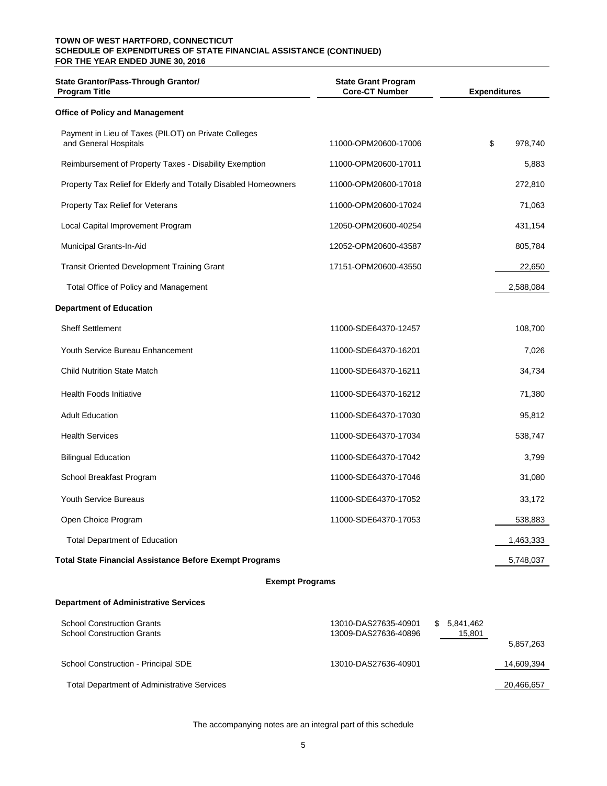#### **SCHEDULE OF EXPENDITURES OF STATE FINANCIAL ASSISTANCE (CONTINUED) TOWN OF WEST HARTFORD, CONNECTICUT FOR THE YEAR ENDED JUNE 30, 2016**

| State Grantor/Pass-Through Grantor/<br><b>Program Title</b>                   | <b>State Grant Program</b><br><b>Core-CT Number</b> | <b>Expenditures</b> |
|-------------------------------------------------------------------------------|-----------------------------------------------------|---------------------|
| <b>Office of Policy and Management</b>                                        |                                                     |                     |
| Payment in Lieu of Taxes (PILOT) on Private Colleges<br>and General Hospitals | 11000-OPM20600-17006                                | \$<br>978,740       |
| Reimbursement of Property Taxes - Disability Exemption                        | 11000-OPM20600-17011                                | 5,883               |
| Property Tax Relief for Elderly and Totally Disabled Homeowners               | 11000-OPM20600-17018                                | 272,810             |
| Property Tax Relief for Veterans                                              | 11000-OPM20600-17024                                | 71,063              |
| Local Capital Improvement Program                                             | 12050-OPM20600-40254                                | 431,154             |
| Municipal Grants-In-Aid                                                       | 12052-OPM20600-43587                                | 805,784             |
| <b>Transit Oriented Development Training Grant</b>                            | 17151-OPM20600-43550                                | 22,650              |
| Total Office of Policy and Management                                         |                                                     | 2,588,084           |
| <b>Department of Education</b>                                                |                                                     |                     |
| <b>Sheff Settlement</b>                                                       | 11000-SDE64370-12457                                | 108,700             |
| Youth Service Bureau Enhancement                                              | 11000-SDE64370-16201                                | 7,026               |
| <b>Child Nutrition State Match</b>                                            | 11000-SDE64370-16211                                | 34,734              |
| <b>Health Foods Initiative</b>                                                | 11000-SDE64370-16212                                | 71,380              |
| <b>Adult Education</b>                                                        | 11000-SDE64370-17030                                | 95,812              |
| <b>Health Services</b>                                                        | 11000-SDE64370-17034                                | 538,747             |
| <b>Bilingual Education</b>                                                    | 11000-SDE64370-17042                                | 3,799               |
| School Breakfast Program                                                      | 11000-SDE64370-17046                                | 31,080              |
| Youth Service Bureaus                                                         | 11000-SDE64370-17052                                | 33,172              |
| Open Choice Program                                                           | 11000-SDE64370-17053                                | 538,883             |
| <b>Total Department of Education</b>                                          |                                                     | 1,463,333           |
| <b>Total State Financial Assistance Before Exempt Programs</b>                |                                                     | 5,748,037           |
| <b>Exempt Programs</b>                                                        |                                                     |                     |
| <b>Department of Administrative Services</b>                                  |                                                     |                     |
| <b>School Construction Grants</b><br><b>School Construction Grants</b>        | 13010-DAS27635-40901<br>S<br>13009-DAS27636-40896   | 5,841,462<br>15,801 |

|                                             |                      | 5.857.263  |
|---------------------------------------------|----------------------|------------|
| School Construction - Principal SDE         | 13010-DAS27636-40901 | 14,609,394 |
| Total Department of Administrative Services |                      | 20,466,657 |

The accompanying notes are an integral part of this schedule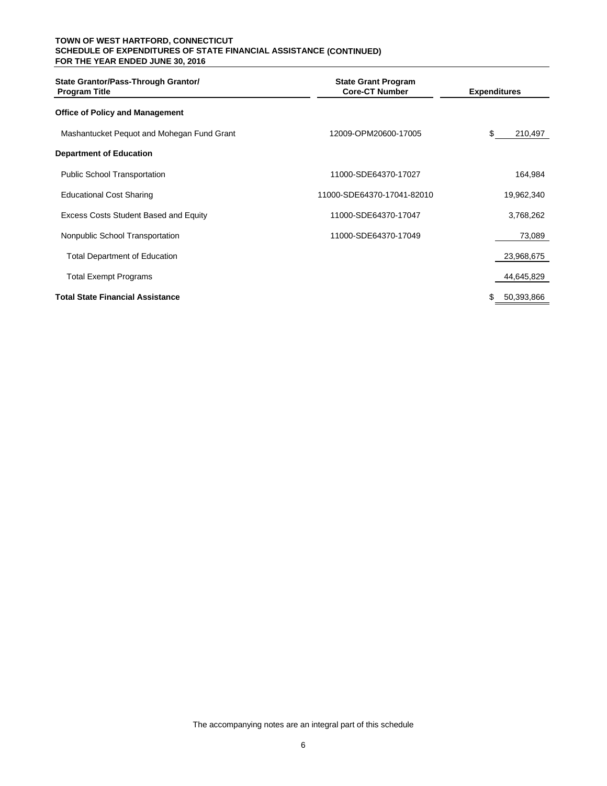#### **SCHEDULE OF EXPENDITURES OF STATE FINANCIAL ASSISTANCE (CONTINUED) TOWN OF WEST HARTFORD, CONNECTICUT FOR THE YEAR ENDED JUNE 30, 2016**

| State Grantor/Pass-Through Grantor/<br><b>Program Title</b> | <b>State Grant Program</b><br><b>Core-CT Number</b> | <b>Expenditures</b> |
|-------------------------------------------------------------|-----------------------------------------------------|---------------------|
| <b>Office of Policy and Management</b>                      |                                                     |                     |
| Mashantucket Pequot and Mohegan Fund Grant                  | 12009-OPM20600-17005                                | \$<br>210,497       |
| <b>Department of Education</b>                              |                                                     |                     |
| <b>Public School Transportation</b>                         | 11000-SDE64370-17027                                | 164,984             |
| <b>Educational Cost Sharing</b>                             | 11000-SDE64370-17041-82010                          | 19,962,340          |
| Excess Costs Student Based and Equity                       | 11000-SDE64370-17047                                | 3,768,262           |
| Nonpublic School Transportation                             | 11000-SDE64370-17049                                | 73,089              |
| <b>Total Department of Education</b>                        |                                                     | 23,968,675          |
| <b>Total Exempt Programs</b>                                |                                                     | 44,645,829          |
| <b>Total State Financial Assistance</b>                     |                                                     | 50,393,866          |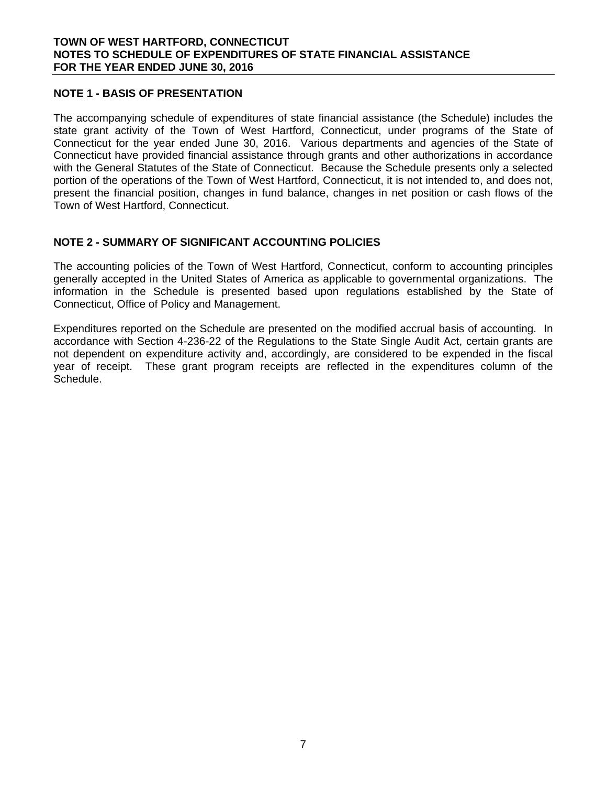## **NOTE 1 - BASIS OF PRESENTATION**

The accompanying schedule of expenditures of state financial assistance (the Schedule) includes the state grant activity of the Town of West Hartford, Connecticut, under programs of the State of Connecticut for the year ended June 30, 2016. Various departments and agencies of the State of Connecticut have provided financial assistance through grants and other authorizations in accordance with the General Statutes of the State of Connecticut. Because the Schedule presents only a selected portion of the operations of the Town of West Hartford, Connecticut, it is not intended to, and does not, present the financial position, changes in fund balance, changes in net position or cash flows of the Town of West Hartford, Connecticut.

## **NOTE 2 - SUMMARY OF SIGNIFICANT ACCOUNTING POLICIES**

The accounting policies of the Town of West Hartford, Connecticut, conform to accounting principles generally accepted in the United States of America as applicable to governmental organizations. The information in the Schedule is presented based upon regulations established by the State of Connecticut, Office of Policy and Management.

Expenditures reported on the Schedule are presented on the modified accrual basis of accounting. In accordance with Section 4-236-22 of the Regulations to the State Single Audit Act, certain grants are not dependent on expenditure activity and, accordingly, are considered to be expended in the fiscal year of receipt. These grant program receipts are reflected in the expenditures column of the Schedule.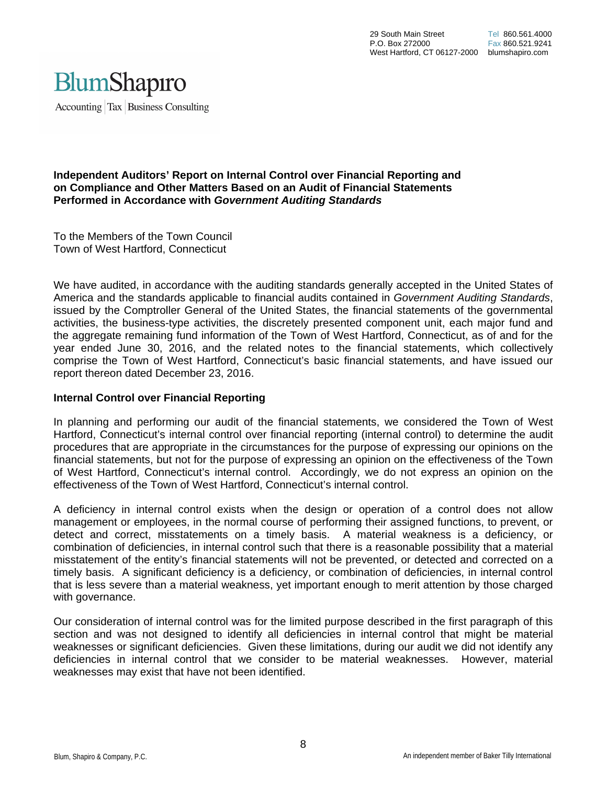

Accounting Tax Business Consulting

## **Independent Auditors' Report on Internal Control over Financial Reporting and on Compliance and Other Matters Based on an Audit of Financial Statements Performed in Accordance with** *Government Auditing Standards*

To the Members of the Town Council Town of West Hartford, Connecticut

We have audited, in accordance with the auditing standards generally accepted in the United States of America and the standards applicable to financial audits contained in *Government Auditing Standards*, issued by the Comptroller General of the United States, the financial statements of the governmental activities, the business-type activities, the discretely presented component unit, each major fund and the aggregate remaining fund information of the Town of West Hartford, Connecticut, as of and for the year ended June 30, 2016, and the related notes to the financial statements, which collectively comprise the Town of West Hartford, Connecticut's basic financial statements, and have issued our report thereon dated December 23, 2016.

## **Internal Control over Financial Reporting**

In planning and performing our audit of the financial statements, we considered the Town of West Hartford, Connecticut's internal control over financial reporting (internal control) to determine the audit procedures that are appropriate in the circumstances for the purpose of expressing our opinions on the financial statements, but not for the purpose of expressing an opinion on the effectiveness of the Town of West Hartford, Connecticut's internal control. Accordingly, we do not express an opinion on the effectiveness of the Town of West Hartford, Connecticut's internal control.

A deficiency in internal control exists when the design or operation of a control does not allow management or employees, in the normal course of performing their assigned functions, to prevent, or detect and correct, misstatements on a timely basis. A material weakness is a deficiency, or combination of deficiencies, in internal control such that there is a reasonable possibility that a material misstatement of the entity's financial statements will not be prevented, or detected and corrected on a timely basis. A significant deficiency is a deficiency, or combination of deficiencies, in internal control that is less severe than a material weakness, yet important enough to merit attention by those charged with governance.

Our consideration of internal control was for the limited purpose described in the first paragraph of this section and was not designed to identify all deficiencies in internal control that might be material weaknesses or significant deficiencies. Given these limitations, during our audit we did not identify any deficiencies in internal control that we consider to be material weaknesses. However, material weaknesses may exist that have not been identified.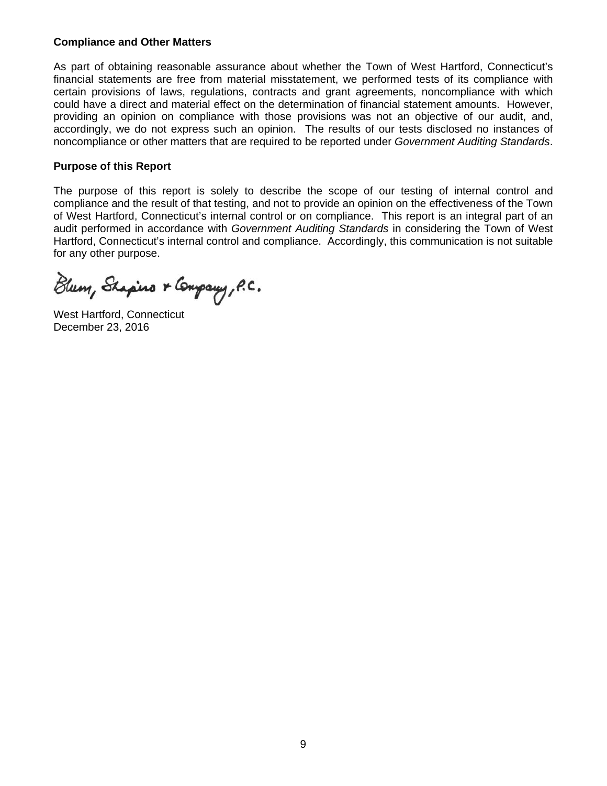## **Compliance and Other Matters**

As part of obtaining reasonable assurance about whether the Town of West Hartford, Connecticut's financial statements are free from material misstatement, we performed tests of its compliance with certain provisions of laws, regulations, contracts and grant agreements, noncompliance with which could have a direct and material effect on the determination of financial statement amounts. However, providing an opinion on compliance with those provisions was not an objective of our audit, and, accordingly, we do not express such an opinion. The results of our tests disclosed no instances of noncompliance or other matters that are required to be reported under *Government Auditing Standards*.

## **Purpose of this Report**

The purpose of this report is solely to describe the scope of our testing of internal control and compliance and the result of that testing, and not to provide an opinion on the effectiveness of the Town of West Hartford, Connecticut's internal control or on compliance. This report is an integral part of an audit performed in accordance with *Government Auditing Standards* in considering the Town of West Hartford, Connecticut's internal control and compliance. Accordingly, this communication is not suitable for any other purpose.

Blum, Shapino & Company, P.C.

West Hartford, Connecticut December 23, 2016